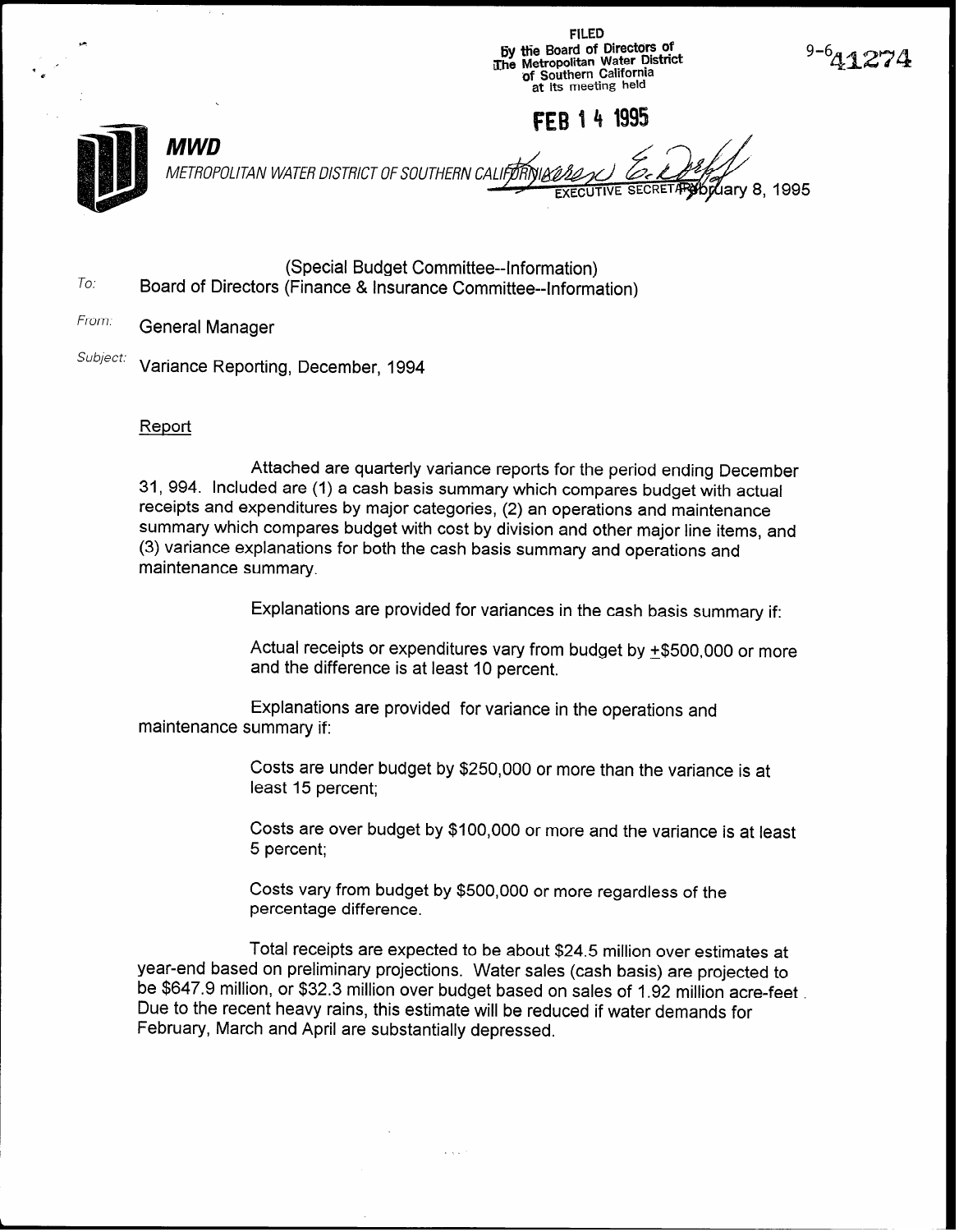FILED <sup>+</sup>6y tlie Board of Directors of The Metropolitan Water District of Southern California at its meeting held

FFR 14 1995



**MWD** METROPOLITAN WATER DISTRICT OF SOUTHERN 8,1995

To: (Special Budget Committee--information) Board of Directors (Finance & Insurance Committee--information)

# From: General Manager

Subject: Variance Reporting, December, 1994

.

### **Report**

Attached are quarterly variance reports for the period ending December 31, 994. Included are (1) a cash basis summary which compares budget with actual receipts and expenditures by major categories, (2) an operations and maintenance summary which compares budget with cost by division and other major line items, and (3) variance explanations for both the cash basis summary and operations and maintenance summary.

Explanations are provided for variances in the cash basis summary if:

Actual receipts or expenditures vary from budget by  $±$500,000$  or more and the difference is at least 10 percent.

Explanations are provided for variance in the operations and maintenance summary if:

> Costs are under budget by \$250,000 or more than the variance is at least 15 percent;

Costs are over budget by \$100,000 or more and the variance is at least 5 percent;

Costs vary from budget by \$500,000 or more regardless of the percentage difference.

Total receipts are expected to be about \$24.5 million over estimates at year-end based on preliminary projections. Water sales (cash basis) are projected to be \$647.9 million, or \$32.3 million over budget based on sales of 1.92 million acre-feet . Due to the recent heavy rains, this estimate will be reduced if water demands for February, March and April are substantially depressed.

a an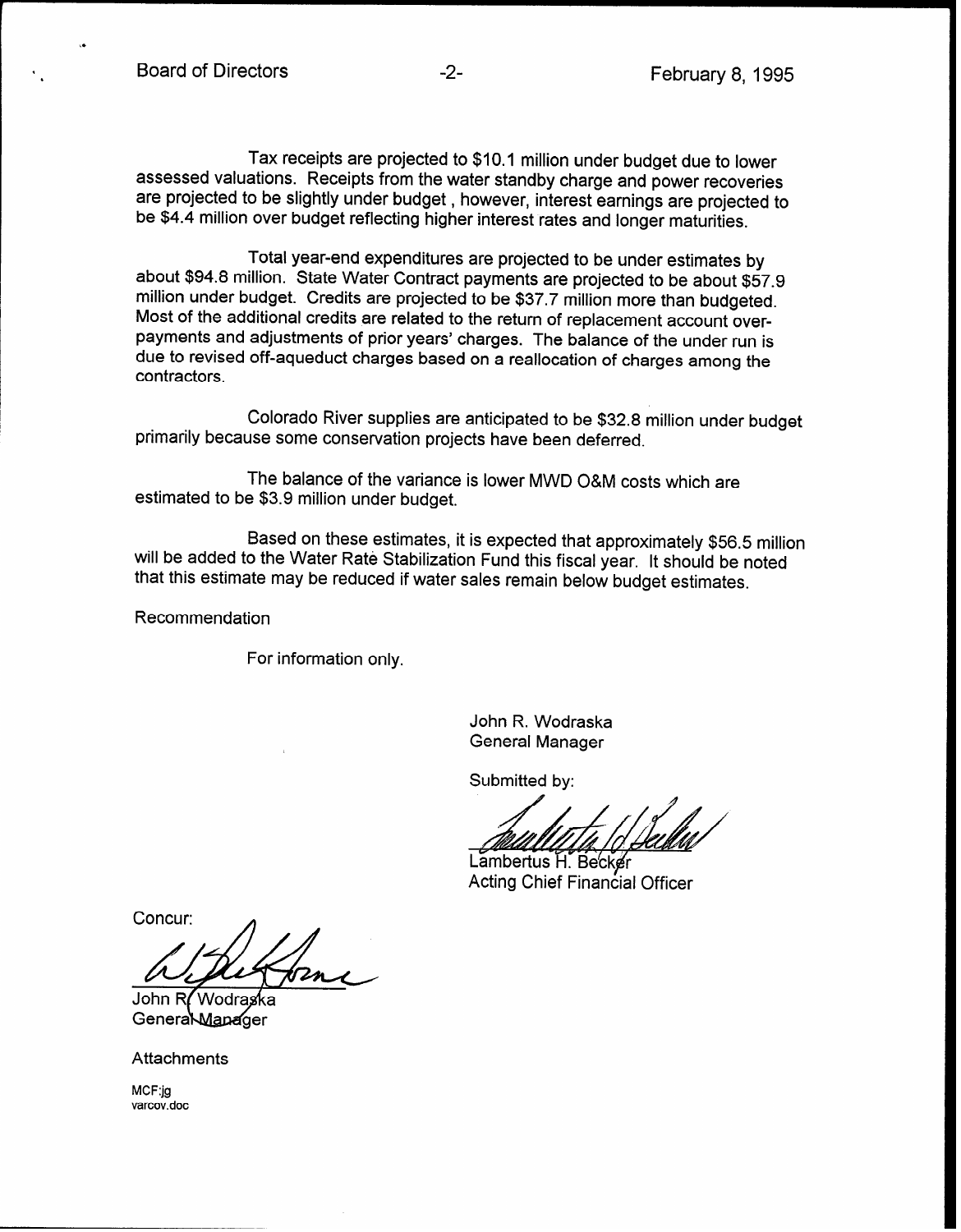Tax receipts are projected to \$10.1 million under budget due to lower assessed valuations. Receipts from the water standby charge and power recoveries are projected to be slightly under budget , however, interest earnings are projected to be \$4.4 million over budget reflecting higher interest rates and longer maturities.

Total year-end expenditures are projected to be under estimates by about \$94.8 million. State Water Contract payments are projected to be about \$57.9 million under budget. Credits are projected to be \$37.7 million more than budgeted. Most of the additional credits are related to the return of replacement account overpayments and adjustments of prior years' charges. The balance of the under run is due to revised off-aqueduct charges based on a reallocation of charges among the contractors.

Colorado River supplies are anticipated to be \$32.8 million under budget primarily because some conservation projects have been deferred.

The balance of the variance is lower MWD O&M costs which are estimated to be \$3.9 million under budget.

Based on these estimates, it is expected that approximately \$56.5 million will be added to the Water Rate Stabilization Fund this fiscal year. It should be noted that this estimate may be reduced if water sales remain below budget estimates.

Recommendation

For information only.

John R. Wodraska General Manager

Submitted by:

Lambertus H. Becker Acting Chief Financial Officer

Concur:

John R**/** Wodraska General Manager

**Attachments** 

MCF:jg varcov.doc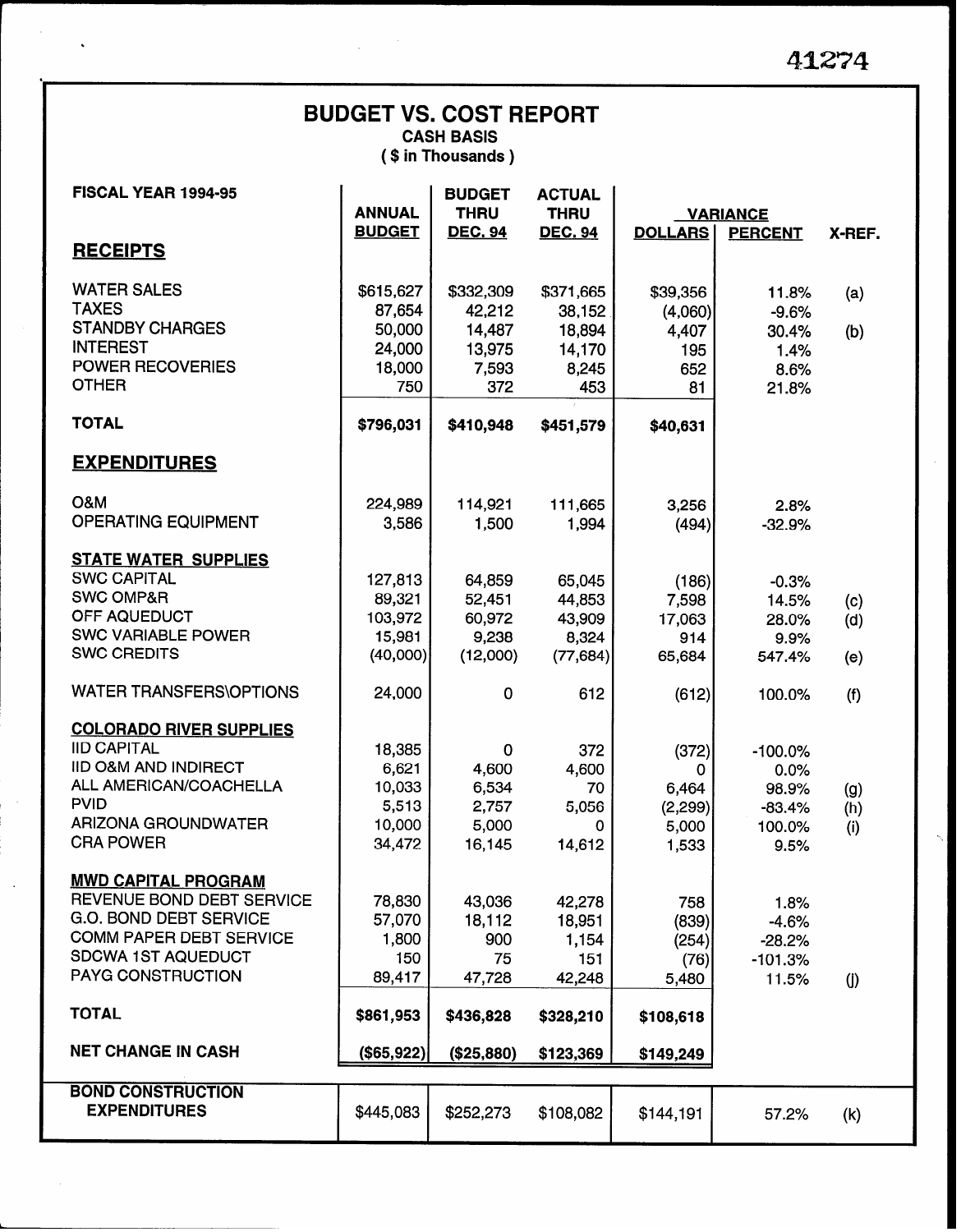| <b>BUDGET VS. COST REPORT</b><br><b>CASH BASIS</b><br>(\$ in Thousands) |                   |                              |                              |                  |                    |                   |  |  |  |  |  |
|-------------------------------------------------------------------------|-------------------|------------------------------|------------------------------|------------------|--------------------|-------------------|--|--|--|--|--|
| FISCAL YEAR 1994-95                                                     | <b>ANNUAL</b>     | <b>BUDGET</b><br><b>THRU</b> | <b>ACTUAL</b><br><b>THRU</b> |                  | <b>VARIANCE</b>    |                   |  |  |  |  |  |
| <b>RECEIPTS</b>                                                         | <b>BUDGET</b>     | <b>DEC. 94</b>               | <b>DEC. 94</b>               | <b>DOLLARS</b>   | <b>PERCENT</b>     | X-REF.            |  |  |  |  |  |
| <b>WATER SALES</b><br><b>TAXES</b>                                      | \$615,627         | \$332,309                    | \$371,665                    | \$39,356         | 11.8%              | (a)               |  |  |  |  |  |
| <b>STANDBY CHARGES</b>                                                  | 87,654<br>50,000  | 42.212<br>14,487             | 38,152<br>18,894             | (4,060)<br>4,407 | $-9.6%$<br>30.4%   | (b)               |  |  |  |  |  |
| <b>INTEREST</b>                                                         | 24,000            | 13,975                       | 14,170                       | 195              | 1.4%               |                   |  |  |  |  |  |
| <b>POWER RECOVERIES</b><br><b>OTHER</b>                                 | 18,000<br>750     | 7,593<br>372                 | 8,245<br>453                 | 652<br>81        | 8.6%<br>21.8%      |                   |  |  |  |  |  |
| <b>TOTAL</b>                                                            | \$796,031         | \$410,948                    | \$451,579                    | \$40,631         |                    |                   |  |  |  |  |  |
| <b>EXPENDITURES</b>                                                     |                   |                              |                              |                  |                    |                   |  |  |  |  |  |
| <b>O&amp;M</b>                                                          | 224,989           | 114,921                      | 111,665                      | 3,256            | 2.8%               |                   |  |  |  |  |  |
| <b>OPERATING EQUIPMENT</b>                                              | 3,586             | 1,500                        | 1,994                        | (494)            | $-32.9%$           |                   |  |  |  |  |  |
| <b>STATE WATER SUPPLIES</b>                                             |                   |                              |                              |                  |                    |                   |  |  |  |  |  |
| <b>SWC CAPITAL</b><br><b>SWC OMP&amp;R</b>                              | 127,813           | 64,859                       | 65,045                       | (186)            | $-0.3%$            |                   |  |  |  |  |  |
| OFF AQUEDUCT                                                            | 89,321<br>103,972 | 52,451<br>60,972             | 44,853<br>43,909             | 7,598<br>17,063  | 14.5%<br>28.0%     | (c)<br>(d)        |  |  |  |  |  |
| <b>SWC VARIABLE POWER</b>                                               | 15,981            | 9,238                        | 8,324                        | 914              | 9.9%               |                   |  |  |  |  |  |
| <b>SWC CREDITS</b>                                                      | (40,000)          | (12,000)                     | (77, 684)                    | 65,684           | 547.4%             | (e)               |  |  |  |  |  |
| <b>WATER TRANSFERS\OPTIONS</b>                                          | 24,000            | $\mathbf 0$                  | 612                          | (612)            | 100.0%             | (f)               |  |  |  |  |  |
| <b>COLORADO RIVER SUPPLIES</b>                                          |                   |                              |                              |                  |                    |                   |  |  |  |  |  |
| <b>IID CAPITAL</b>                                                      | 18,385            | $\mathbf 0$                  | 372                          | (372)            | $-100.0%$          |                   |  |  |  |  |  |
| <b>IID O&amp;M AND INDIRECT</b><br>ALL AMERICAN/COACHELLA               | 6,621<br>10,033   | 4,600<br>6,534               | 4,600<br>70                  | 0<br>6,464       | 0.0%<br>98.9%      |                   |  |  |  |  |  |
| PVID                                                                    | 5,513             | 2,757                        | 5,056                        | (2,299)          | $-83.4%$           | (g)<br>(h)        |  |  |  |  |  |
| <b>ARIZONA GROUNDWATER</b>                                              | 10,000            | 5,000                        | 0                            | 5,000            | 100.0%             | (i)               |  |  |  |  |  |
| <b>CRA POWER</b>                                                        | 34,472            | 16,145                       | 14,612                       | 1,533            | 9.5%               |                   |  |  |  |  |  |
| <b>MWD CAPITAL PROGRAM</b>                                              |                   |                              |                              |                  |                    |                   |  |  |  |  |  |
| REVENUE BOND DEBT SERVICE                                               | 78,830            | 43,036                       | 42,278                       | 758              | 1.8%               |                   |  |  |  |  |  |
| G.O. BOND DEBT SERVICE                                                  | 57,070            | 18,112                       | 18,951                       | (839)            | $-4.6%$            |                   |  |  |  |  |  |
| <b>COMM PAPER DEBT SERVICE</b>                                          | 1,800             | 900                          | 1,154                        | (254)            | $-28.2%$           |                   |  |  |  |  |  |
| SDCWA 1ST AQUEDUCT<br>PAYG CONSTRUCTION                                 | 150<br>89,417     | 75<br>47,728                 | 151<br>42,248                | (76)<br>5,480    | $-101.3%$<br>11.5% | $\left( j\right)$ |  |  |  |  |  |
| <b>TOTAL</b>                                                            | \$861,953         | \$436,828                    | \$328,210                    | \$108,618        |                    |                   |  |  |  |  |  |
| <b>NET CHANGE IN CASH</b>                                               | (\$65,922)        | (\$25,880)                   | \$123,369                    | \$149,249        |                    |                   |  |  |  |  |  |
|                                                                         |                   |                              |                              |                  |                    |                   |  |  |  |  |  |
| <b>BOND CONSTRUCTION</b><br><b>EXPENDITURES</b>                         | \$445,083         | \$252,273                    | \$108,082                    | \$144,191        | 57.2%              | (k)               |  |  |  |  |  |

.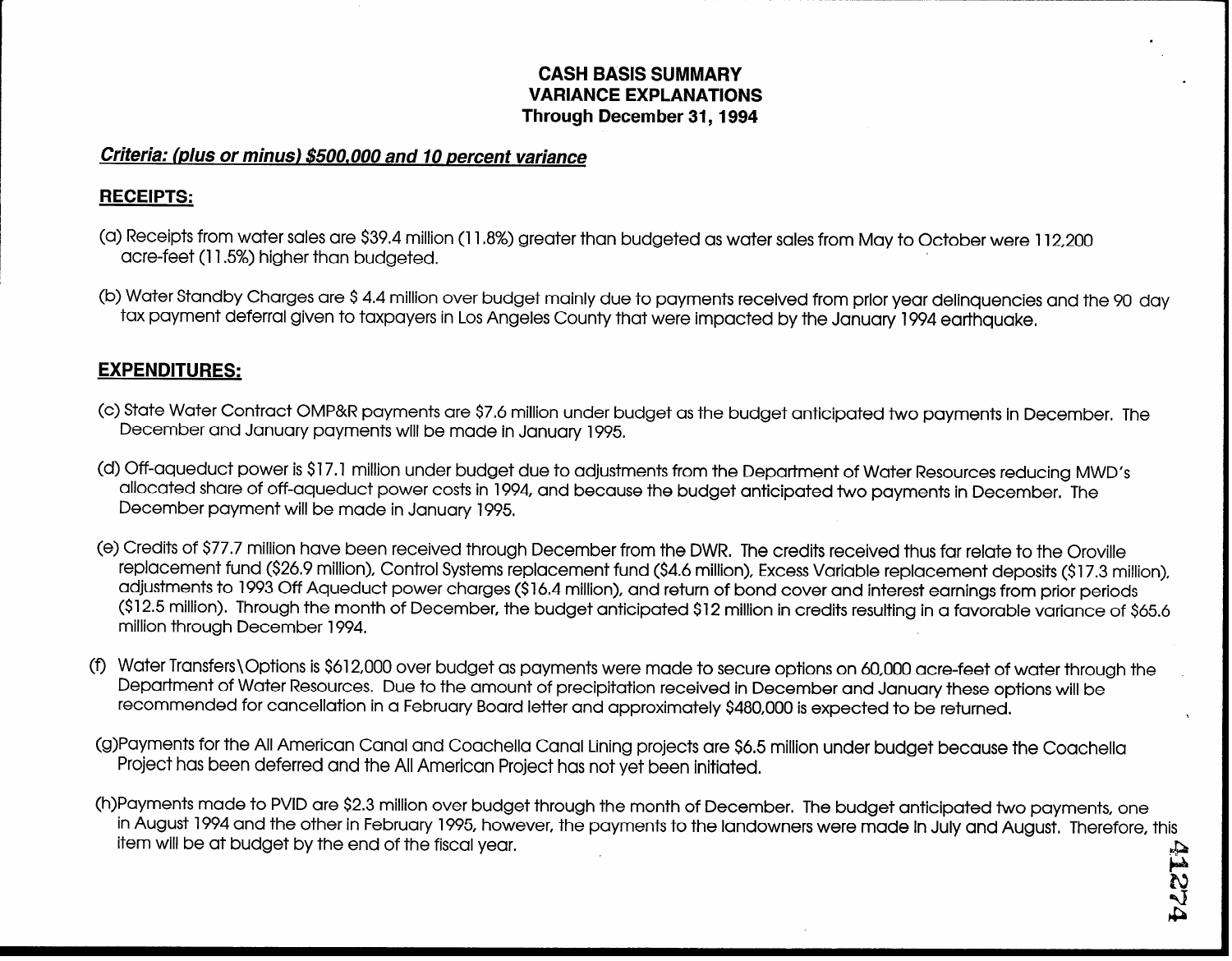## CASH BASIS SUMMARY . VARIANCE EXPLANATIONS Through December 31,1994

.

w N  $\mathcal{N}$ I&

## Criteria: (plus or minus) \$500,000 and IO percent variance

## RECEIPTS:

- (a) Receipts from water sales are \$39.4 million (11.8%) greater than budgeted as water sales from May to October were 112,200 acre-feet (115%) higher than budgeted.
- (b) Water Standby Charges are \$4.4 million over budget mainly due to payments received from prior year delinquencies and the 90 day tax payment deferral given to taxpayers in Los Angeles County that were impacted by the January 1994 earthquake.

# EXPENDITURES:

- (c) State Water Contract OMP&R payments are \$76 million under budget as the budget anticipated two payments in December. The December and January payments will be made in January 1995.
- (d) Off-aqueduct power is \$17.1 million under budget due to adjustments from the Department of Water Resources reducing MWD's allocated share of off-aqueduct power costs in 1994, and because the budget anticipated two payments in December. The December payment will be made in January 1995.
- (e) Credits of \$77.7 million have been received through December from the DWR. The credits received thus far relate to the Oroville replacement fund (\$26.9 million), Control Systems replacement fund (\$4.6 million), Excess Variable replacement deposits (\$17.3 million), adjustments to 1993 Off Aqueduct power charges (\$16.4 million), and return of bond cover and interest earnings from prior periods (\$12.5 million). Through the month of December, the budget anticipated \$12 million in credits resulting in a favorable variance of \$65.6 million through December 1994.
- (9 Water Transfers\Options is \$612,000 over budget as payments were made to secure options on 60,000 acre-feet of water through the Department of Water Resources. Due to the amount of precipitation received in December and January these options will be recommended for cancellation in a February Board letter and approximately \$480,000 is expected to be returned. \
- (g)Payments for the All American Canal and Coachella Canal Lining projects are \$6.5 million under budget because the Coachella Project has been deferred and the All American Project has not yet been initiated.
- (h)Payments made to PVID are \$2.3 million over budget through the month of December. The budget anticipated two payments, one in August 1994 and the other in February 1995, however, the payments to the landowners were made in July and August. Therefore, this item will be at budget by the end of the fiscal year.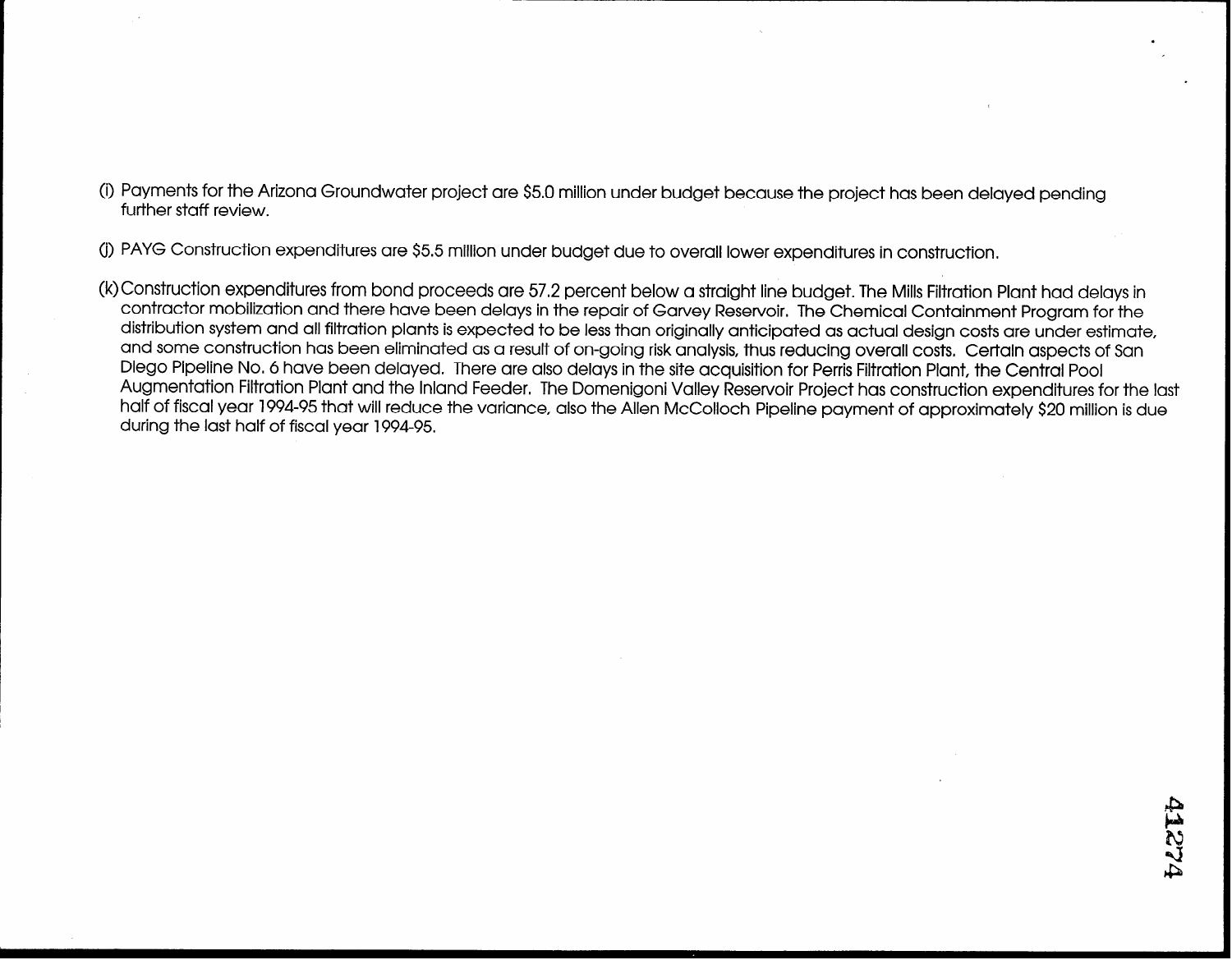(i) Payments for the Arizona Groundwater project are \$5.0 million under budget because the project has been delayed pending further staff review.

(j) PAYG Construction expenditures are \$5.5 million under budget due to overall lower expenditures in construction.

(k)Construction expenditures from bond proceeds are 57.2 percent below a straight line budget. The Mills Filtration Plant had delays in contractor mobilization and there have been delays in the repair of Garvey Reservoir. The Chemical Containment Program for the distribution system and all filtration plants is expected to be less than originally anticipated as actual design costs are under estimate, and some construction has been eliminated as a result of on-going risk analysis, thus reducing overall costs, Certain aspects of San Diego Pipeline No. 6 have been delayed. There are also delays in the site acquisition for Perris Filtration Plant, the Central Pool Augmentation Filtration Plant and the Inland Feeder. The Domenigoni Valley Reservoir Project has construction expenditures for the last half of fiscal year 1994-95 that will reduce the variance, also the Allen McColloch Pipeline payment of approximately \$20 million is due during the last half of fiscal year 1994-95.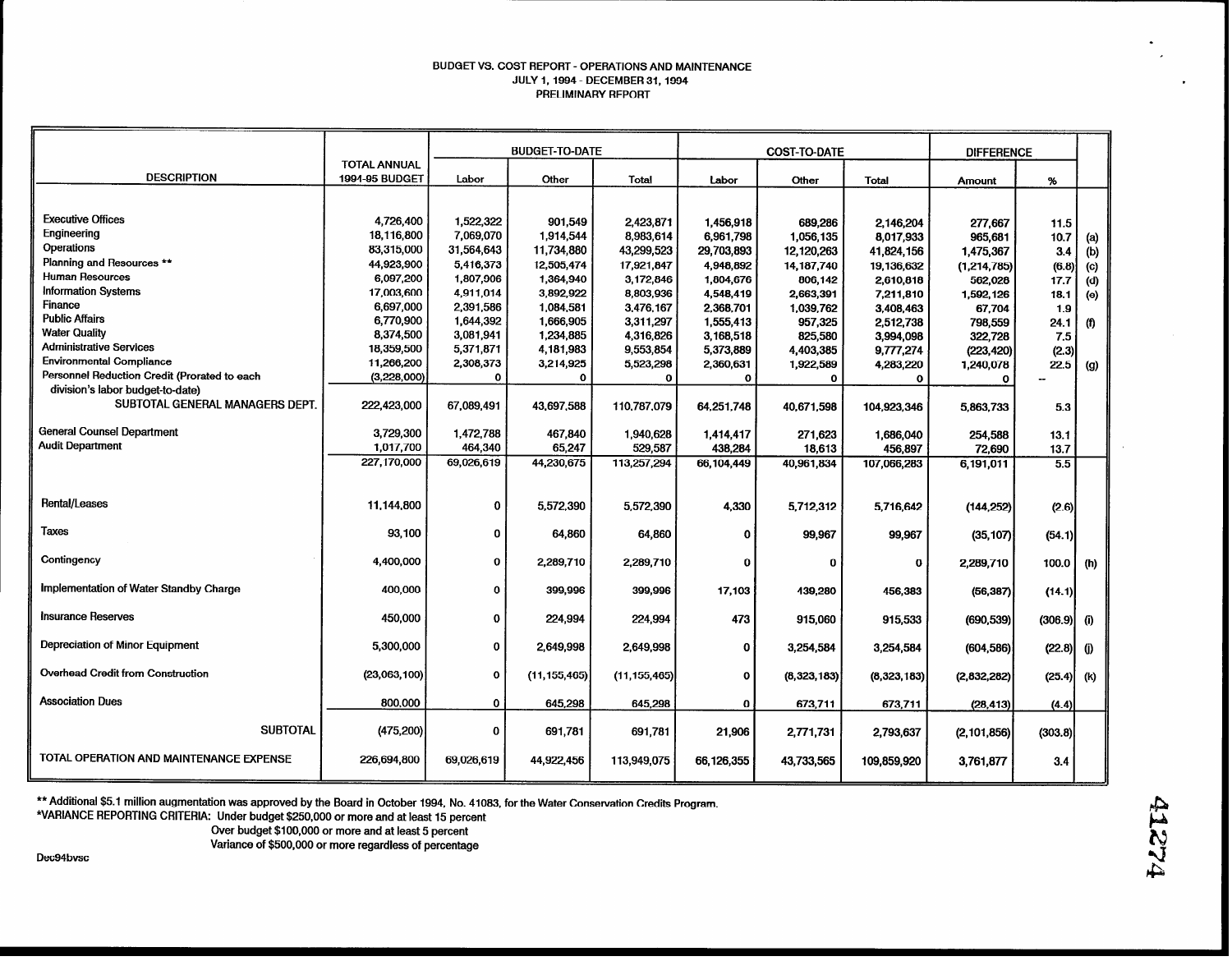### BUDGET VS. COST REPORT - OPERATIONS AND MAINTENANCE JULY 1.1994 - DECEMBER 31,1994 PRELIMINARY REPORT

|                                              |                       | <b>BUDGET-TO-DATE</b> |                |                |             | <b>COST-TO-DATE</b> |              |               | <b>DIFFERENCE</b> |          |
|----------------------------------------------|-----------------------|-----------------------|----------------|----------------|-------------|---------------------|--------------|---------------|-------------------|----------|
|                                              | <b>TOTAL ANNUAL</b>   |                       |                |                |             |                     |              |               |                   |          |
| <b>DESCRIPTION</b>                           | <b>1994-95 BUDGET</b> | Labor                 | Other          | Total          | Labor       | Other               | <b>Total</b> | Amount        | %                 |          |
|                                              |                       |                       |                |                |             |                     |              |               |                   |          |
| <b>Executive Offices</b>                     | 4,726,400             | 1,522,322             | 901,549        | 2,423,871      | 1,456,918   | 689,286             | 2.146.204    | 277,667       | 11.5              |          |
| Engineering                                  | 18,116,800            | 7,069,070             | 1,914,544      | 8,983,614      | 6,961,798   | 1,056,135           | 8.017.933    | 965.681       | 10.7              | (a)      |
| Operations                                   | 83,315,000            | 31,564,643            | 11,734,880     | 43,299,523     | 29,703,893  | 12, 120, 263        | 41,824,156   | 1,475,367     | 3.4               | (b)      |
| Planning and Resources **                    | 44,923,900            | 5,416,373             | 12,505,474     | 17,921,847     | 4,948,892   | 14, 187, 740        | 19,136,632   | (1, 214, 785) | (6.8)             | (c)      |
| <b>Human Resources</b>                       | 6,097,200             | 1,807,906             | 1,364,940      | 3,172,846      | 1,804,676   | 806,142             | 2,610,818    | 562,028       | 17.7              | (d)      |
| <b>Information Systems</b>                   | 17,003,600            | 4,911,014             | 3,892,922      | 8,803,936      | 4,548,419   | 2,663,391           | 7,211,810    | 1,592,126     | 18.1              | (e)      |
| <b>Finance</b>                               | 6,697,000             | 2,391,586             | 1,084,581      | 3,476,167      | 2,368,701   | 1,039,762           | 3,408,463    | 67,704        | 1.9               |          |
| <b>Public Affairs</b>                        | 6,770,900             | 1,644,392             | 1,666,905      | 3,311,297      | 1,555,413   | 957,325             | 2,512,738    | 798,559       | 24.1              | $^{(f)}$ |
| <b>Water Quality</b>                         | 8,374,500             | 3,081,941             | 1,234,885      | 4,316,826      | 3,168,518   | 825.580             | 3,994,098    | 322,728       | 7.5               |          |
| <b>Administrative Services</b>               | 18,359,500            | 5,371,871             | 4,181,983      | 9,553,854      | 5,373,889   | 4,403,385           | 9,777,274    | (223, 420)    | (2.3)             |          |
| <b>Environmental Compliance</b>              | 11,266,200            | 2,308,373             | 3,214,925      | 5,523,298      | 2,360,631   | 1,922,589           | 4,283,220    | 1,240,078     | 22.5              | (g)      |
| Personnel Reduction Credit (Prorated to each | (3,228,000)           | Ω                     | $\mathbf 0$    | $\mathbf{o}$   | $\Omega$    | $\mathbf{o}$        | Ω            | 0             |                   |          |
| division's labor budget-to-date)             |                       |                       |                |                |             |                     |              |               |                   |          |
| SUBTOTAL GENERAL MANAGERS DEPT.              | 222,423,000           | 67,089,491            | 43,697,588     | 110,787,079    | 64,251,748  | 40,671,598          | 104.923.346  | 5,863,733     | 5.3               |          |
| <b>General Counsel Department</b>            | 3,729,300             | 1,472,788             | 467,840        | 1,940,628      | 1,414,417   | 271,623             | 1,686,040    | 254,588       | 13.1              |          |
| <b>Audit Department</b>                      | 1,017,700             | 464,340               | 65,247         | 529,587        | 438,284     | 18,613              | 456,897      | 72,690        | 13.7              |          |
|                                              | 227,170,000           | 69,026,619            | 44,230,675     | 113,257,294    | 66,104,449  | 40,961,834          | 107,066,283  | 6,191,011     | 5.5               |          |
|                                              |                       |                       |                |                |             |                     |              |               |                   |          |
| Rental/Leases                                | 11,144,800            | $\mathbf 0$           | 5,572,390      | 5,572,390      | 4,330       | 5,712,312           | 5,716,642    | (144, 252)    | (2.6)             |          |
| Taxes                                        | 93.100                | $\mathbf 0$           | 64,860         | 64,860         | $\Omega$    | 99,967              | 99,967       | (35, 107)     | (54.1)            |          |
| Contingency                                  | 4,400,000             | $\mathbf 0$           | 2,289,710      | 2,289,710      | $\Omega$    | 0                   | $\bf{0}$     | 2,289,710     | 100.0             | (h)      |
| Implementation of Water Standby Charge       | 400,000               | $\mathbf 0$           | 399,996        | 399,996        | 17,103      | 439,280             | 456,383      | (56, 387)     | (14.1)            |          |
| <b>Insurance Reserves</b>                    | 450,000               | $\mathbf 0$           | 224,994        | 224,994        | 473         | 915,060             | 915,533      | (690, 539)    | $(306.9)$ (i)     |          |
| Depreciation of Minor Equipment              | 5,300,000             | $\mathbf 0$           | 2,649,998      | 2,649,998      | $\mathbf 0$ | 3,254,584           | 3,254,584    | (604, 586)    | (22.8)            | $\omega$ |
| <b>Overhead Credit from Construction</b>     | (23,063,100)          | $\mathbf o$           | (11, 155, 465) | (11, 155, 465) | $\mathbf 0$ | (8,323,183)         | (8,323,183)  | (2, 832, 282) | (25.4)            | (k)      |
| <b>Association Dues</b>                      | 800,000               | 0                     | 645,298        | 645,298        | $\bf{0}$    | 673,711             | 673,711      | (28, 413)     | (4.4)             |          |
| <b>SUBTOTAL</b>                              | (475, 200)            | $\bf{o}$              | 691.781        | 691,781        | 21,906      | 2,771,731           | 2,793,637    | (2, 101, 856) | (303.8)           |          |
| TOTAL OPERATION AND MAINTENANCE EXPENSE      | 226,694,800           | 69,026,619            | 44,922,456     | 113,949,075    | 66,126,355  | 43,733,565          | 109.859.920  | 3,761,877     | 3.4               |          |

\*\*Additional \$5.1 million augmentation was approved by the Board in October 1994, No. 41083, for the Water Conservation Credits Program.

\*VARIANCE REPORTING CRITERIA: Under budget \$250,000 or more and at least 15 percent

Over budget \$100,000 or more and at least 5 percent

Variance of \$500,000 or more regardless of percentage

Dec94bvsc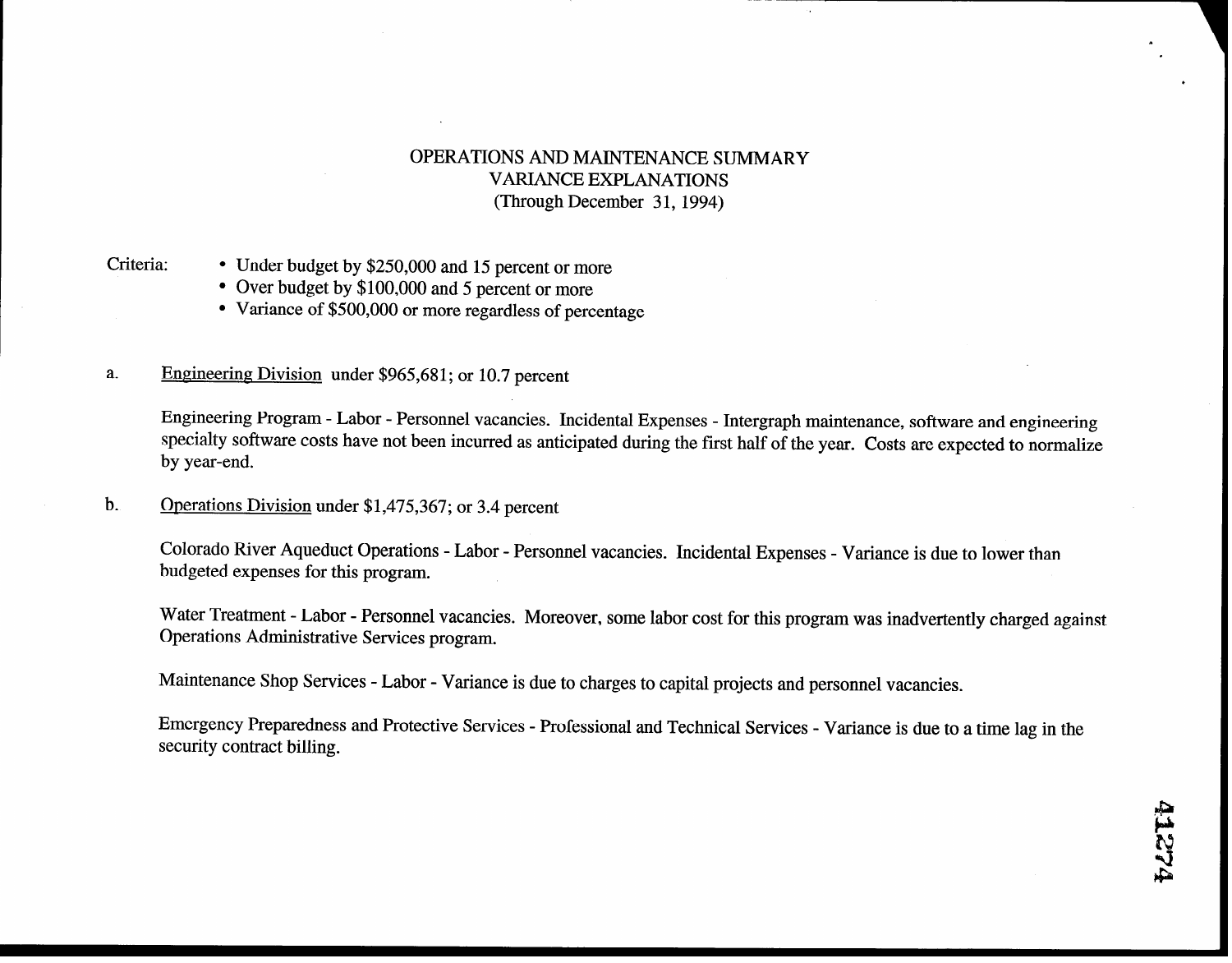## OPERATIONS AND MAINTENANCE SUMMARY VARIANCE EXPLANATIONS (Through December 31, 1994)

- Criteria: Under budget by \$250,000 and 15 percent or more
	- Over budget by \$100,000 and 5 percent or more
	- Variance of \$500,000 or more regardless of percentage
- Engineering Division under \$965,681; or 10.7 percent a.

Engineering Program - Labor - Personnel vacancies. Incidental Expenses - Intergraph maintenance, software and engineering specialty software costs have not been incurred as anticipated during the first half of the year. Costs are expected to normalize by year-end.

b. Operations Division under \$1,475,367; or 3.4 percent

Colorado River Aqueduct Operations - Labor - Personnel vacancies. Incidental Expenses - Variance is due to lower than budgeted expenses for this program.

Water Treatment - Labor - Personnel vacancies. Moreover, some labor cost for this program was inadvertently charged against Operations Administrative Services program.

Maintenance Shop Services - Labor - Variance is due to charges to capital projects and personnel vacancies.

Emergency Preparedness and Protective Services - Professional and Technical Services - Variance is due to a time lag in the security contract billing.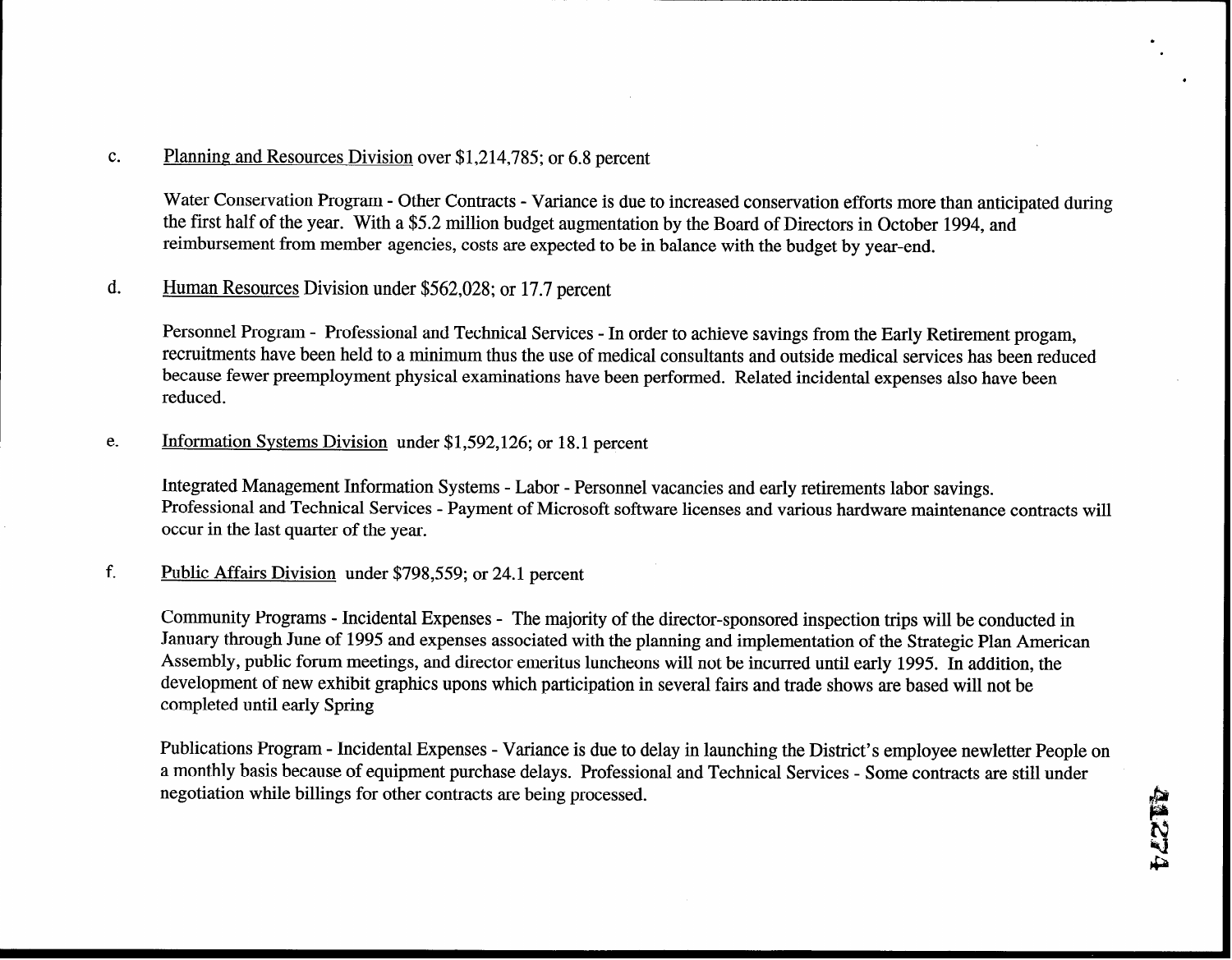### C. Planning and Resources Division over \$1,214,785; or 6.8 percent

Water Conservation Program - Other Contracts - Variance is due to increased conservation efforts more than anticipated during the first half of the year. With a \$5.2 million budget augmentation by the Board of Directors in October 1994, and reimbursement from member agencies, costs are expected to be in balance with the budget by year-end.

## d. Human Resources Division under \$562,028; or 17.7 percent

Personnel Program - Professional and Technical Services - In order to achieve savings from the Early Retirement progam, recruitments have been held to a minimum thus the use of medical consultants and outside medical services has been reduced because fewer preemployment physical examinations have been performed. Related incidental expenses also have been reduced.

e. Information Systems Division under \$1,592,126; or 18.1 percent

Integrated Management Information Systems - Labor - Personnel vacancies and early retirements labor savings. Professional and Technical Services - Payment of Microsoft software licenses and various hardware maintenance contracts will occur in the last quarter of the year.

#### f. Public Affairs Division under \$798,559; or 24.1 percent

Cornmunity Programs - Incidental Expenses - The majority of the director-sponsored inspection trips will be conducted in January through June of 1995 and expenses associated with the planning and implementation of the Strategic Plan American Assembly, public forum meetings, and director emeritus luncheons will not be incurred until early 1995. In addition, the development of new exhibit graphics upons which participation in several fairs and trade shows are based will not be completed until early Spring

Publications Program - Incidental Expenses - Variance is due to delay in launching the District's employee newletter People on a monthly basis because of equipment purchase delays. Professional and Technical Services - Some contracts are still under negotiation while billings for other contracts are being processed.

l .

\*